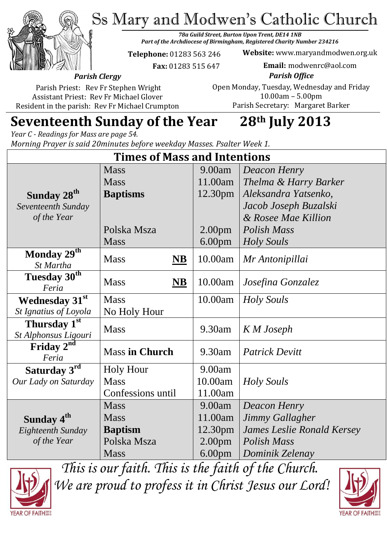Ss Mary and Modwen's Catholic Church



*78a Guild Street, Burton Upon Trent, DE14 1NB Part of the Archdiocese of Birmingham, Registered Charity Number 234216*

**Telephone:** 01283 563 246

 **Fax:** 01283 515 647

**Website:** www.maryandmodwen.org.uk **Email:** modwenrc@aol.com

*Parish Clergy* Parish Priest: Rev Fr Stephen Wright

Assistant Priest: Rev Fr Michael Glover Resident in the parish: Rev Fr Michael Crumpton

*Parish Office* Open Monday, Tuesday, Wednesday and Friday 10.00am – 5.00pm Parish Secretary:Margaret Barker

# **Seventeenth Sunday of the Year 28th July 2013**

*Year C - Readings for Mass are page 54. Morning Prayer is said 20minutes before weekday Masses. Psalter Week 1.*

| <b>Times of Mass and Intentions</b>      |                                    |                     |                                   |
|------------------------------------------|------------------------------------|---------------------|-----------------------------------|
|                                          | <b>Mass</b>                        | 9.00am              | <b>Deacon Henry</b>               |
|                                          | <b>Mass</b>                        | 11.00am             | Thelma & Harry Barker             |
| Sunday 28 <sup>th</sup>                  | <b>Baptisms</b>                    | 12.30 <sub>pm</sub> | Aleksandra Yatsenko,              |
| Seventeenth Sunday                       |                                    |                     | Jacob Joseph Buzalski             |
| of the Year                              |                                    |                     | & Rosee Mae Killion               |
|                                          | Polska Msza                        | 2.00 <sub>pm</sub>  | <b>Polish Mass</b>                |
|                                          | <b>Mass</b>                        | 6.00 <sub>pm</sub>  | <b>Holy Souls</b>                 |
| Monday $29^{\overline{th}}$<br>St Martha | <b>Mass</b><br>$\overline{\bf NB}$ | 10.00am             | Mr Antonipillai                   |
| Tuesday 30 <sup>th</sup><br>Feria        | <b>Mass</b><br>$\overline{\bf NB}$ | 10.00am             | Josefina Gonzalez                 |
| <b>Wednesday 31st</b>                    | <b>Mass</b>                        | 10.00am             | <b>Holy Souls</b>                 |
| St Ignatius of Loyola                    | No Holy Hour                       |                     |                                   |
| Thursday 1st<br>St Alphonsus Ligouri     | <b>Mass</b>                        | 9.30am              | K M Joseph                        |
| Friday $2^{nd}$<br>Feria                 | <b>Mass in Church</b>              | 9.30am              | <b>Patrick Devitt</b>             |
| Saturday 3rd                             | <b>Holy Hour</b>                   | 9.00am              |                                   |
| Our Lady on Saturday                     | <b>Mass</b>                        | 10.00am             | Holy Souls                        |
|                                          | Confessions until                  | 11.00am             |                                   |
|                                          | <b>Mass</b>                        | 9.00am              | <b>Deacon Henry</b>               |
| Sunday 4 <sup>th</sup>                   | <b>Mass</b>                        | 11.00am             | Jimmy Gallagher                   |
| Eighteenth Sunday                        | <b>Baptism</b>                     | 12.30pm             | <b>James Leslie Ronald Kersey</b> |
| of the Year                              | Polska Msza                        | 2.00 <sub>pm</sub>  | Polish Mass                       |
|                                          | <b>Mass</b>                        | 6.00 <sub>pm</sub>  | Dominik Zelenay                   |

*This is our faith. This is the faith of the Church. We are proud to profess it in Christ Jesus our Lord!*

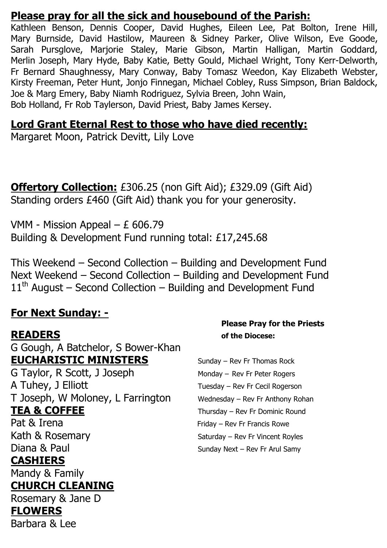#### **Please pray for all the sick and housebound of the Parish:**

Kathleen Benson, Dennis Cooper, David Hughes, Eileen Lee, Pat Bolton, Irene Hill, Mary Burnside, David Hastilow, Maureen & Sidney Parker, Olive Wilson, Eve Goode, Sarah Pursglove, Marjorie Staley, Marie Gibson, Martin Halligan, Martin Goddard, Merlin Joseph, Mary Hyde, Baby Katie, Betty Gould, Michael Wright, Tony Kerr-Delworth, Fr Bernard Shaughnessy, Mary Conway, Baby Tomasz Weedon, Kay Elizabeth Webster, Kirsty Freeman, Peter Hunt, Jonjo Finnegan, Michael Cobley, Russ Simpson, Brian Baldock, Joe & Marg Emery, Baby Niamh Rodriguez, Sylvia Breen, John Wain, Bob Holland, Fr Rob Taylerson, David Priest, Baby James Kersey.

#### **Lord Grant Eternal Rest to those who have died recently:**

Margaret Moon, Patrick Devitt, Lily Love

**Offertory Collection:** £306.25 (non Gift Aid); £329.09 (Gift Aid) Standing orders £460 (Gift Aid) thank you for your generosity.

VMM - Mission Appeal – £ 606.79 Building & Development Fund running total: £17,245.68

This Weekend – Second Collection – Building and Development Fund Next Weekend – Second Collection – Building and Development Fund  $11<sup>th</sup>$  August – Second Collection – Building and Development Fund

#### **For Next Sunday: -**

G Gough, A Batchelor, S Bower-Khan **EUCHARISTIC MINISTERS** Sunday – Rev Fr Thomas Rock G Taylor, R Scott, J Joseph Monday – Rev Fr Peter Rogers A Tuhey, J Elliott Tuesday – Rev Fr Cecil Rogerson

#### **CASHIERS**

Mandy & Family

#### **CHURCH CLEANING**

Rosemary & Jane D

# **FLOWERS**

Barbara & Lee

#### **Please Pray for the Priests READERS of the Diocese:**

T Joseph, W Moloney, L Farrington Wednesday - Rev Fr Anthony Rohan **TEA & COFFEE** Thursday – Rev Fr Dominic Round Pat & Irena Friday – Rev Fr Francis Rowe Kath & Rosemary Saturday – Rev Fr Vincent Royles Diana & Paul Sunday Next – Rev Fr Arul Samy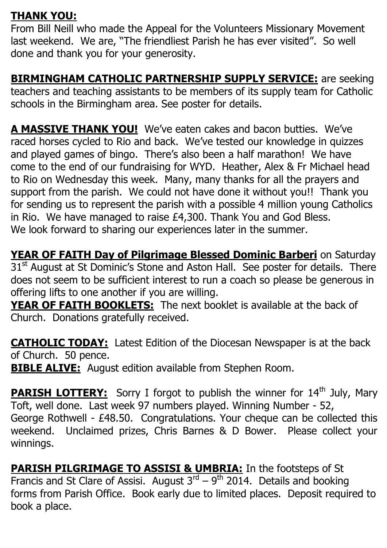## **THANK YOU:**

From Bill Neill who made the Appeal for the Volunteers Missionary Movement last weekend. We are, "The friendliest Parish he has ever visited". So well done and thank you for your generosity.

**BIRMINGHAM CATHOLIC PARTNERSHIP SUPPLY SERVICE:** are seeking teachers and teaching assistants to be members of its supply team for Catholic schools in the Birmingham area. See poster for details.

**A MASSIVE THANK YOU!** We've eaten cakes and bacon butties. We've raced horses cycled to Rio and back. We've tested our knowledge in quizzes and played games of bingo. There's also been a half marathon! We have come to the end of our fundraising for WYD. Heather, Alex & Fr Michael head to Rio on Wednesday this week. Many, many thanks for all the prayers and support from the parish. We could not have done it without you!! Thank you for sending us to represent the parish with a possible 4 million young Catholics in Rio. We have managed to raise £4,300. Thank You and God Bless. We look forward to sharing our experiences later in the summer.

**YEAR OF FAITH Day of Pilgrimage Blessed Dominic Barberi** on Saturday 31<sup>st</sup> August at St Dominic's Stone and Aston Hall. See poster for details. There does not seem to be sufficient interest to run a coach so please be generous in offering lifts to one another if you are willing.

**YEAR OF FAITH BOOKLETS:** The next booklet is available at the back of Church. Donations gratefully received.

**CATHOLIC TODAY:** Latest Edition of the Diocesan Newspaper is at the back of Church. 50 pence.

**BIBLE ALIVE:** August edition available from Stephen Room.

**PARISH LOTTERY:** Sorry I forgot to publish the winner for 14<sup>th</sup> July, Mary Toft, well done. Last week 97 numbers played. Winning Number - 52, George Rothwell - £48.50. Congratulations. Your cheque can be collected this weekend. Unclaimed prizes, Chris Barnes & D Bower. Please collect your winnings.

**PARISH PILGRIMAGE TO ASSISI & UMBRIA:** In the footsteps of St Francis and St Clare of Assisi. August  $3^{rd} - 9^{th}$  2014. Details and booking forms from Parish Office. Book early due to limited places. Deposit required to book a place.